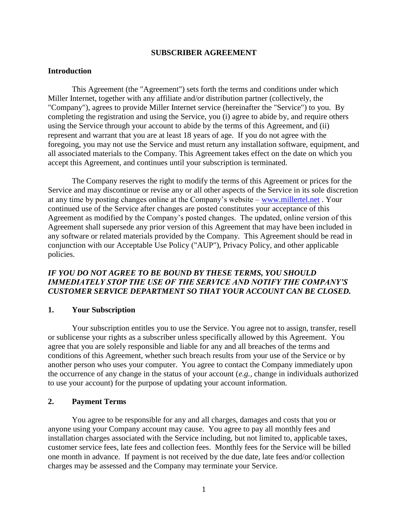#### **SUBSCRIBER AGREEMENT**

#### **Introduction**

This Agreement (the "Agreement") sets forth the terms and conditions under which Miller Internet, together with any affiliate and/or distribution partner (collectively, the "Company"), agrees to provide Miller Internet service (hereinafter the "Service") to you. By completing the registration and using the Service, you (i) agree to abide by, and require others using the Service through your account to abide by the terms of this Agreement, and (ii) represent and warrant that you are at least 18 years of age. If you do not agree with the foregoing, you may not use the Service and must return any installation software, equipment, and all associated materials to the Company. This Agreement takes effect on the date on which you accept this Agreement, and continues until your subscription is terminated.

The Company reserves the right to modify the terms of this Agreement or prices for the Service and may discontinue or revise any or all other aspects of the Service in its sole discretion at any time by posting changes online at the Company's website – [www.millertel.net](http://www.millertel.net/) . Your continued use of the Service after changes are posted constitutes your acceptance of this Agreement as modified by the Company's posted changes. The updated, online version of this Agreement shall supersede any prior version of this Agreement that may have been included in any software or related materials provided by the Company. This Agreement should be read in conjunction with our Acceptable Use Policy ("AUP"), Privacy Policy, and other applicable policies.

## *IF YOU DO NOT AGREE TO BE BOUND BY THESE TERMS, YOU SHOULD IMMEDIATELY STOP THE USE OF THE SERVICE AND NOTIFY THE COMPANY'S CUSTOMER SERVICE DEPARTMENT SO THAT YOUR ACCOUNT CAN BE CLOSED.*

#### **1. Your Subscription**

Your subscription entitles you to use the Service. You agree not to assign, transfer, resell or sublicense your rights as a subscriber unless specifically allowed by this Agreement. You agree that you are solely responsible and liable for any and all breaches of the terms and conditions of this Agreement, whether such breach results from your use of the Service or by another person who uses your computer. You agree to contact the Company immediately upon the occurrence of any change in the status of your account (*e.g.*, change in individuals authorized to use your account) for the purpose of updating your account information.

#### **2. Payment Terms**

You agree to be responsible for any and all charges, damages and costs that you or anyone using your Company account may cause. You agree to pay all monthly fees and installation charges associated with the Service including, but not limited to, applicable taxes, customer service fees, late fees and collection fees. Monthly fees for the Service will be billed one month in advance. If payment is not received by the due date, late fees and/or collection charges may be assessed and the Company may terminate your Service.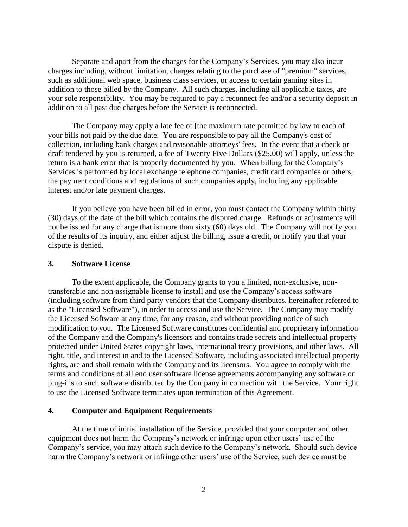Separate and apart from the charges for the Company's Services, you may also incur charges including, without limitation, charges relating to the purchase of "premium" services, such as additional web space, business class services, or access to certain gaming sites in addition to those billed by the Company. All such charges, including all applicable taxes, are your sole responsibility. You may be required to pay a reconnect fee and/or a security deposit in addition to all past due charges before the Service is reconnected.

The Company may apply a late fee of **[**the maximum rate permitted by law to each of your bills not paid by the due date. You are responsible to pay all the Company's cost of collection, including bank charges and reasonable attorneys' fees. In the event that a check or draft tendered by you is returned, a fee of Twenty Five Dollars (\$25.00) will apply, unless the return is a bank error that is properly documented by you. When billing for the Company's Services is performed by local exchange telephone companies, credit card companies or others, the payment conditions and regulations of such companies apply, including any applicable interest and/or late payment charges.

If you believe you have been billed in error, you must contact the Company within thirty (30) days of the date of the bill which contains the disputed charge. Refunds or adjustments will not be issued for any charge that is more than sixty (60) days old. The Company will notify you of the results of its inquiry, and either adjust the billing, issue a credit, or notify you that your dispute is denied.

#### **3. Software License**

To the extent applicable, the Company grants to you a limited, non-exclusive, nontransferable and non-assignable license to install and use the Company's access software (including software from third party vendors that the Company distributes, hereinafter referred to as the "Licensed Software"), in order to access and use the Service. The Company may modify the Licensed Software at any time, for any reason, and without providing notice of such modification to you. The Licensed Software constitutes confidential and proprietary information of the Company and the Company's licensors and contains trade secrets and intellectual property protected under United States copyright laws, international treaty provisions, and other laws. All right, title, and interest in and to the Licensed Software, including associated intellectual property rights, are and shall remain with the Company and its licensors. You agree to comply with the terms and conditions of all end user software license agreements accompanying any software or plug-ins to such software distributed by the Company in connection with the Service. Your right to use the Licensed Software terminates upon termination of this Agreement.

#### **4. Computer and Equipment Requirements**

At the time of initial installation of the Service, provided that your computer and other equipment does not harm the Company's network or infringe upon other users' use of the Company's service, you may attach such device to the Company's network. Should such device harm the Company's network or infringe other users' use of the Service, such device must be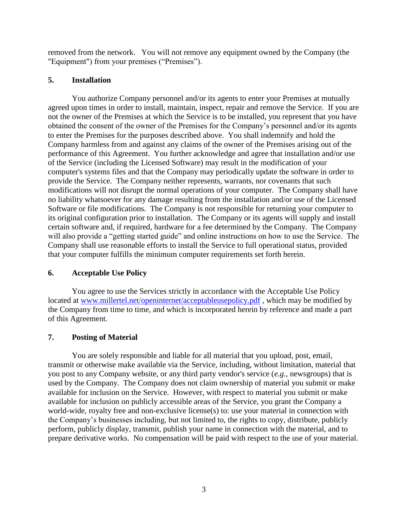removed from the network. You will not remove any equipment owned by the Company (the "Equipment") from your premises ("Premises").

## **5. Installation**

You authorize Company personnel and/or its agents to enter your Premises at mutually agreed upon times in order to install, maintain, inspect, repair and remove the Service. If you are not the owner of the Premises at which the Service is to be installed, you represent that you have obtained the consent of the owner of the Premises for the Company's personnel and/or its agents to enter the Premises for the purposes described above. You shall indemnify and hold the Company harmless from and against any claims of the owner of the Premises arising out of the performance of this Agreement. You further acknowledge and agree that installation and/or use of the Service (including the Licensed Software) may result in the modification of your computer's systems files and that the Company may periodically update the software in order to provide the Service. The Company neither represents, warrants, nor covenants that such modifications will not disrupt the normal operations of your computer. The Company shall have no liability whatsoever for any damage resulting from the installation and/or use of the Licensed Software or file modifications. The Company is not responsible for returning your computer to its original configuration prior to installation. The Company or its agents will supply and install certain software and, if required, hardware for a fee determined by the Company. The Company will also provide a "getting started guide" and online instructions on how to use the Service. The Company shall use reasonable efforts to install the Service to full operational status, provided that your computer fulfills the minimum computer requirements set forth herein.

# **6. Acceptable Use Policy**

You agree to use the Services strictly in accordance with the Acceptable Use Policy located at [www.millertel.net/openinternet/acceptableusepolicy.pdf](http://www.millertel.net/openinternet/acceptableusepolicy.pdf), which may be modified by the Company from time to time, and which is incorporated herein by reference and made a part of this Agreement.

# **7. Posting of Material**

You are solely responsible and liable for all material that you upload, post, email, transmit or otherwise make available via the Service, including, without limitation, material that you post to any Company website, or any third party vendor's service (*e.g.*, newsgroups) that is used by the Company. The Company does not claim ownership of material you submit or make available for inclusion on the Service. However, with respect to material you submit or make available for inclusion on publicly accessible areas of the Service, you grant the Company a world-wide, royalty free and non-exclusive license(s) to: use your material in connection with the Company's businesses including, but not limited to, the rights to copy, distribute, publicly perform, publicly display, transmit, publish your name in connection with the material, and to prepare derivative works. No compensation will be paid with respect to the use of your material.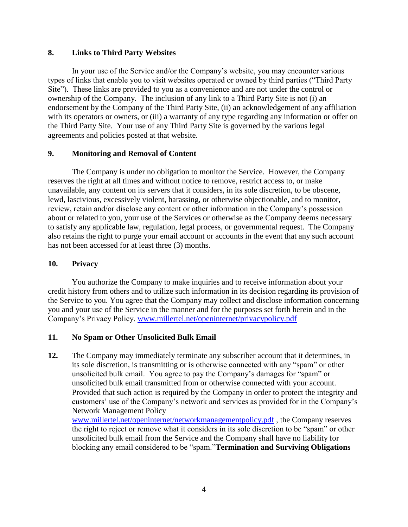## **8. Links to Third Party Websites**

In your use of the Service and/or the Company's website, you may encounter various types of links that enable you to visit websites operated or owned by third parties ("Third Party Site"). These links are provided to you as a convenience and are not under the control or ownership of the Company. The inclusion of any link to a Third Party Site is not (i) an endorsement by the Company of the Third Party Site, (ii) an acknowledgement of any affiliation with its operators or owners, or (iii) a warranty of any type regarding any information or offer on the Third Party Site. Your use of any Third Party Site is governed by the various legal agreements and policies posted at that website.

# **9. Monitoring and Removal of Content**

The Company is under no obligation to monitor the Service. However, the Company reserves the right at all times and without notice to remove, restrict access to, or make unavailable, any content on its servers that it considers, in its sole discretion, to be obscene, lewd, lascivious, excessively violent, harassing, or otherwise objectionable, and to monitor, review, retain and/or disclose any content or other information in the Company's possession about or related to you, your use of the Services or otherwise as the Company deems necessary to satisfy any applicable law, regulation, legal process, or governmental request. The Company also retains the right to purge your email account or accounts in the event that any such account has not been accessed for at least three (3) months.

### **10. Privacy**

You authorize the Company to make inquiries and to receive information about your credit history from others and to utilize such information in its decision regarding its provision of the Service to you. You agree that the Company may collect and disclose information concerning you and your use of the Service in the manner and for the purposes set forth herein and in the Company's Privacy Policy. [www.millertel.net/openinternet/privacypolicy.pdf](http://www.millertel.net/openinternet/privacypolicy.pdf) 

# **11. No Spam or Other Unsolicited Bulk Email**

**12.** The Company may immediately terminate any subscriber account that it determines, in its sole discretion, is transmitting or is otherwise connected with any "spam" or other unsolicited bulk email. You agree to pay the Company's damages for "spam" or unsolicited bulk email transmitted from or otherwise connected with your account. Provided that such action is required by the Company in order to protect the integrity and customers' use of the Company's network and services as provided for in the Company's Network Management Policy

[www.millertel.net/openinternet/networkmanagementpolicy.pdf](http://www.millertel.net/openinternet/networkmanagementpolicy.pdf), the Company reserves the right to reject or remove what it considers in its sole discretion to be "spam" or other unsolicited bulk email from the Service and the Company shall have no liability for blocking any email considered to be "spam."**Termination and Surviving Obligations**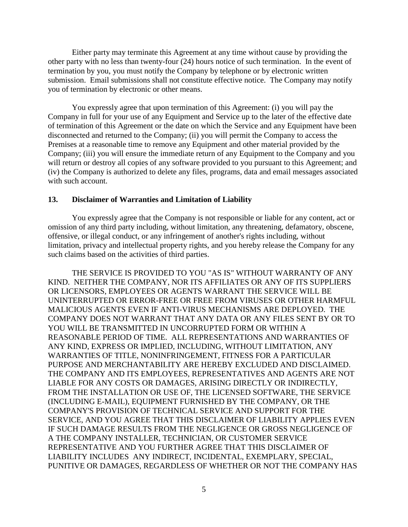Either party may terminate this Agreement at any time without cause by providing the other party with no less than twenty-four (24) hours notice of such termination. In the event of termination by you, you must notify the Company by telephone or by electronic written submission. Email submissions shall not constitute effective notice. The Company may notify you of termination by electronic or other means.

You expressly agree that upon termination of this Agreement: (i) you will pay the Company in full for your use of any Equipment and Service up to the later of the effective date of termination of this Agreement or the date on which the Service and any Equipment have been disconnected and returned to the Company; (ii) you will permit the Company to access the Premises at a reasonable time to remove any Equipment and other material provided by the Company; (iii) you will ensure the immediate return of any Equipment to the Company and you will return or destroy all copies of any software provided to you pursuant to this Agreement; and (iv) the Company is authorized to delete any files, programs, data and email messages associated with such account.

#### **13. Disclaimer of Warranties and Limitation of Liability**

You expressly agree that the Company is not responsible or liable for any content, act or omission of any third party including, without limitation, any threatening, defamatory, obscene, offensive, or illegal conduct, or any infringement of another's rights including, without limitation, privacy and intellectual property rights, and you hereby release the Company for any such claims based on the activities of third parties.

THE SERVICE IS PROVIDED TO YOU "AS IS" WITHOUT WARRANTY OF ANY KIND. NEITHER THE COMPANY, NOR ITS AFFILIATES OR ANY OF ITS SUPPLIERS OR LICENSORS, EMPLOYEES OR AGENTS WARRANT THE SERVICE WILL BE UNINTERRUPTED OR ERROR-FREE OR FREE FROM VIRUSES OR OTHER HARMFUL MALICIOUS AGENTS EVEN IF ANTI-VIRUS MECHANISMS ARE DEPLOYED. THE COMPANY DOES NOT WARRANT THAT ANY DATA OR ANY FILES SENT BY OR TO YOU WILL BE TRANSMITTED IN UNCORRUPTED FORM OR WITHIN A REASONABLE PERIOD OF TIME. ALL REPRESENTATIONS AND WARRANTIES OF ANY KIND, EXPRESS OR IMPLIED, INCLUDING, WITHOUT LIMITATION, ANY WARRANTIES OF TITLE, NONINFRINGEMENT, FITNESS FOR A PARTICULAR PURPOSE AND MERCHANTABILITY ARE HEREBY EXCLUDED AND DISCLAIMED. THE COMPANY AND ITS EMPLOYEES, REPRESENTATIVES AND AGENTS ARE NOT LIABLE FOR ANY COSTS OR DAMAGES, ARISING DIRECTLY OR INDIRECTLY, FROM THE INSTALLATION OR USE OF, THE LICENSED SOFTWARE, THE SERVICE (INCLUDING E-MAIL), EQUIPMENT FURNISHED BY THE COMPANY, OR THE COMPANY'S PROVISION OF TECHNICAL SERVICE AND SUPPORT FOR THE SERVICE, AND YOU AGREE THAT THIS DISCLAIMER OF LIABILITY APPLIES EVEN IF SUCH DAMAGE RESULTS FROM THE NEGLIGENCE OR GROSS NEGLIGENCE OF A THE COMPANY INSTALLER, TECHNICIAN, OR CUSTOMER SERVICE REPRESENTATIVE AND YOU FURTHER AGREE THAT THIS DISCLAIMER OF LIABILITY INCLUDES ANY INDIRECT, INCIDENTAL, EXEMPLARY, SPECIAL, PUNITIVE OR DAMAGES, REGARDLESS OF WHETHER OR NOT THE COMPANY HAS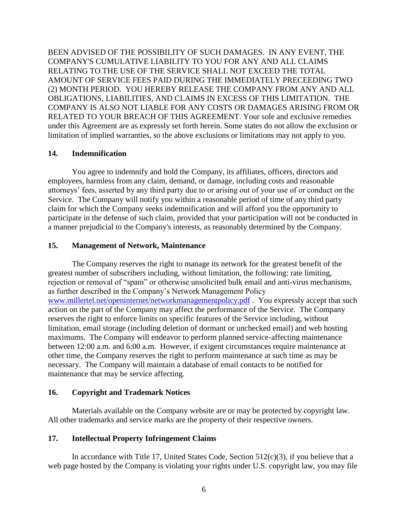BEEN ADVISED OF THE POSSIBILITY OF SUCH DAMAGES. IN ANY EVENT, THE COMPANY'S CUMULATIVE LIABILITY TO YOU FOR ANY AND ALL CLAIMS RELATING TO THE USE OF THE SERVICE SHALL NOT EXCEED THE TOTAL AMOUNT OF SERVICE FEES PAID DURING THE IMMEDIATELY PRECEEDING TWO (2) MONTH PERIOD. YOU HEREBY RELEASE THE COMPANY FROM ANY AND ALL OBLIGATIONS, LIABILITIES, AND CLAIMS IN EXCESS OF THIS LIMITATION. THE COMPANY IS ALSO NOT LIABLE FOR ANY COSTS OR DAMAGES ARISING FROM OR RELATED TO YOUR BREACH OF THIS AGREEMENT. Your sole and exclusive remedies under this Agreement are as expressly set forth herein. Some states do not allow the exclusion or limitation of implied warranties, so the above exclusions or limitations may not apply to you.

## **14. Indemnification**

You agree to indemnify and hold the Company, its affiliates, officers, directors and employees, harmless from any claim, demand, or damage, including costs and reasonable attorneys' fees, asserted by any third party due to or arising out of your use of or conduct on the Service. The Company will notify you within a reasonable period of time of any third party claim for which the Company seeks indemnification and will afford you the opportunity to participate in the defense of such claim, provided that your participation will not be conducted in a manner prejudicial to the Company's interests, as reasonably determined by the Company.

## **15. Management of Network, Maintenance**

The Company reserves the right to manage its network for the greatest benefit of the greatest number of subscribers including, without limitation, the following: rate limiting, rejection or removal of "spam" or otherwise unsolicited bulk email and anti-virus mechanisms, as further described in the Company's Network Management Policy [www.millertel.net/openinternet/networkmanagementpolicy.pdf](http://www.millertel.net/openinternet/networkmanagementpolicy.pdf) . You expressly accept that such action on the part of the Company may affect the performance of the Service. The Company reserves the right to enforce limits on specific features of the Service including, without limitation, email storage (including deletion of dormant or unchecked email) and web hosting maximums. The Company will endeavor to perform planned service-affecting maintenance between 12:00 a.m. and 6:00 a.m. However, if exigent circumstances require maintenance at other time, the Company reserves the right to perform maintenance at such time as may be necessary. The Company will maintain a database of email contacts to be notified for maintenance that may be service affecting.

### **16. Copyright and Trademark Notices**

Materials available on the Company website are or may be protected by copyright law. All other trademarks and service marks are the property of their respective owners.

### **17. Intellectual Property Infringement Claims**

In accordance with Title 17, United States Code, Section  $512(c)(3)$ , if you believe that a web page hosted by the Company is violating your rights under U.S. copyright law, you may file